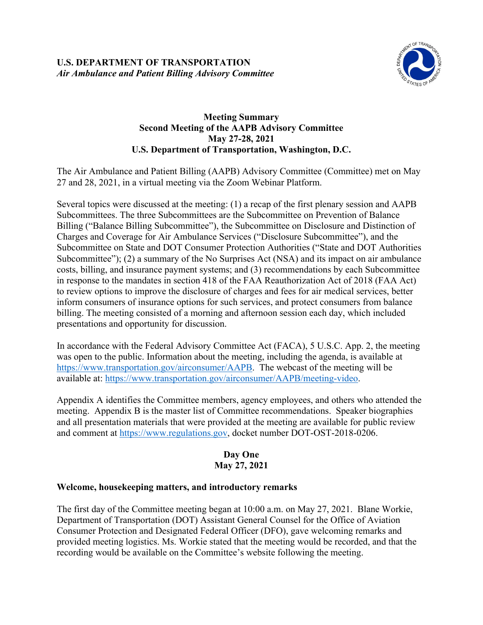

## **Meeting Summary Second Meeting of the AAPB Advisory Committee May 27-28, 2021 U.S. Department of Transportation, Washington, D.C.**

The Air Ambulance and Patient Billing (AAPB) Advisory Committee (Committee) met on May 27 and 28, 2021, in a virtual meeting via the Zoom Webinar Platform.

Several topics were discussed at the meeting: (1) a recap of the first plenary session and AAPB Subcommittees. The three Subcommittees are the Subcommittee on Prevention of Balance Billing ("Balance Billing Subcommittee"), the Subcommittee on Disclosure and Distinction of Charges and Coverage for Air Ambulance Services ("Disclosure Subcommittee"), and the Subcommittee on State and DOT Consumer Protection Authorities ("State and DOT Authorities Subcommittee"); (2) a summary of the No Surprises Act (NSA) and its impact on air ambulance costs, billing, and insurance payment systems; and (3) recommendations by each Subcommittee in response to the mandates in section 418 of the FAA Reauthorization Act of 2018 (FAA Act) to review options to improve the disclosure of charges and fees for air medical services, better inform consumers of insurance options for such services, and protect consumers from balance billing. The meeting consisted of a morning and afternoon session each day, which included presentations and opportunity for discussion.

In accordance with the Federal Advisory Committee Act (FACA), 5 U.S.C. App. 2, the meeting was open to the public. Information about the meeting, including the agenda, is available at [https://www.transportation.gov/airconsumer/AAPB.](https://www.transportation.gov/airconsumer/AAPB) The webcast of the meeting will be available at: [https://www.transportation.gov/airconsumer/AAPB/meeting-video.](https://www.transportation.gov/airconsumer/AAPB/meeting-video)

Appendix A identifies the Committee members, agency employees, and others who attended the meeting. Appendix B is the master list of Committee recommendations. Speaker biographies and all presentation materials that were provided at the meeting are available for public review and comment at [https://www.regulations.gov,](https://www.regulations.gov/) docket number DOT-OST-2018-0206.

## **Day One May 27, 2021**

## **Welcome, housekeeping matters, and introductory remarks**

The first day of the Committee meeting began at 10:00 a.m. on May 27, 2021. Blane Workie, Department of Transportation (DOT) Assistant General Counsel for the Office of Aviation Consumer Protection and Designated Federal Officer (DFO), gave welcoming remarks and provided meeting logistics. Ms. Workie stated that the meeting would be recorded, and that the recording would be available on the Committee's website following the meeting.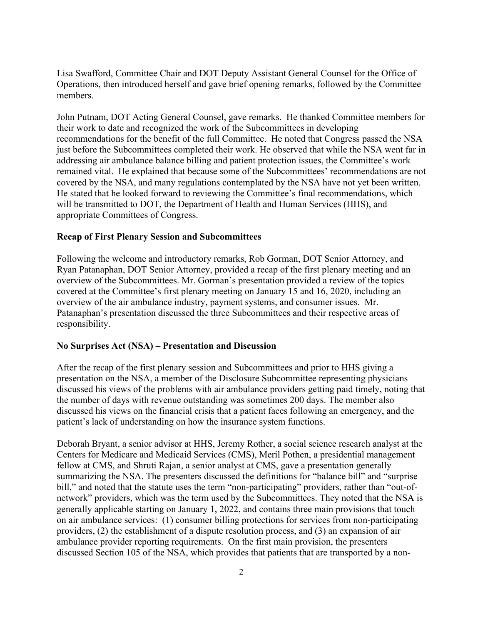Lisa Swafford, Committee Chair and DOT Deputy Assistant General Counsel for the Office of Operations, then introduced herself and gave brief opening remarks, followed by the Committee members.

John Putnam, DOT Acting General Counsel, gave remarks. He thanked Committee members for their work to date and recognized the work of the Subcommittees in developing recommendations for the benefit of the full Committee. He noted that Congress passed the NSA just before the Subcommittees completed their work. He observed that while the NSA went far in addressing air ambulance balance billing and patient protection issues, the Committee's work remained vital. He explained that because some of the Subcommittees' recommendations are not covered by the NSA, and many regulations contemplated by the NSA have not yet been written. He stated that he looked forward to reviewing the Committee's final recommendations, which will be transmitted to DOT, the Department of Health and Human Services (HHS), and appropriate Committees of Congress.

### **Recap of First Plenary Session and Subcommittees**

Following the welcome and introductory remarks, Rob Gorman, DOT Senior Attorney, and Ryan Patanaphan, DOT Senior Attorney, provided a recap of the first plenary meeting and an overview of the Subcommittees. Mr. Gorman's presentation provided a review of the topics covered at the Committee's first plenary meeting on January 15 and 16, 2020, including an overview of the air ambulance industry, payment systems, and consumer issues. Mr. Patanaphan's presentation discussed the three Subcommittees and their respective areas of responsibility.

#### **No Surprises Act (NSA) – Presentation and Discussion**

After the recap of the first plenary session and Subcommittees and prior to HHS giving a presentation on the NSA, a member of the Disclosure Subcommittee representing physicians discussed his views of the problems with air ambulance providers getting paid timely, noting that the number of days with revenue outstanding was sometimes 200 days. The member also discussed his views on the financial crisis that a patient faces following an emergency, and the patient's lack of understanding on how the insurance system functions.

Deborah Bryant, a senior advisor at HHS, Jeremy Rother, a social science research analyst at the Centers for Medicare and Medicaid Services (CMS), Meril Pothen, a presidential management fellow at CMS, and Shruti Rajan, a senior analyst at CMS, gave a presentation generally summarizing the NSA. The presenters discussed the definitions for "balance bill" and "surprise bill," and noted that the statute uses the term "non-participating" providers, rather than "out-ofnetwork" providers, which was the term used by the Subcommittees. They noted that the NSA is generally applicable starting on January 1, 2022, and contains three main provisions that touch on air ambulance services: (1) consumer billing protections for services from non-participating providers, (2) the establishment of a dispute resolution process, and (3) an expansion of air ambulance provider reporting requirements. On the first main provision, the presenters discussed Section 105 of the NSA, which provides that patients that are transported by a non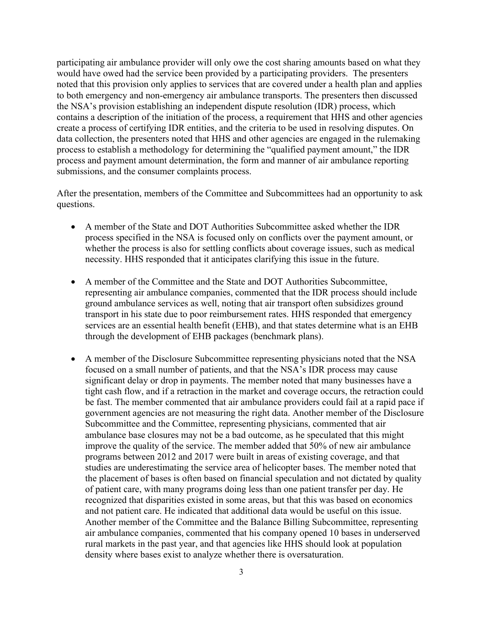participating air ambulance provider will only owe the cost sharing amounts based on what they would have owed had the service been provided by a participating providers. The presenters noted that this provision only applies to services that are covered under a health plan and applies to both emergency and non-emergency air ambulance transports. The presenters then discussed the NSA's provision establishing an independent dispute resolution (IDR) process, which contains a description of the initiation of the process, a requirement that HHS and other agencies create a process of certifying IDR entities, and the criteria to be used in resolving disputes. On data collection, the presenters noted that HHS and other agencies are engaged in the rulemaking process to establish a methodology for determining the "qualified payment amount," the IDR process and payment amount determination, the form and manner of air ambulance reporting submissions, and the consumer complaints process.

After the presentation, members of the Committee and Subcommittees had an opportunity to ask questions.

- A member of the State and DOT Authorities Subcommittee asked whether the IDR process specified in the NSA is focused only on conflicts over the payment amount, or whether the process is also for settling conflicts about coverage issues, such as medical necessity. HHS responded that it anticipates clarifying this issue in the future.
- A member of the Committee and the State and DOT Authorities Subcommittee, representing air ambulance companies, commented that the IDR process should include ground ambulance services as well, noting that air transport often subsidizes ground transport in his state due to poor reimbursement rates. HHS responded that emergency services are an essential health benefit (EHB), and that states determine what is an EHB through the development of EHB packages (benchmark plans).
- A member of the Disclosure Subcommittee representing physicians noted that the NSA focused on a small number of patients, and that the NSA's IDR process may cause significant delay or drop in payments. The member noted that many businesses have a tight cash flow, and if a retraction in the market and coverage occurs, the retraction could be fast. The member commented that air ambulance providers could fail at a rapid pace if government agencies are not measuring the right data. Another member of the Disclosure Subcommittee and the Committee, representing physicians, commented that air ambulance base closures may not be a bad outcome, as he speculated that this might improve the quality of the service. The member added that 50% of new air ambulance programs between 2012 and 2017 were built in areas of existing coverage, and that studies are underestimating the service area of helicopter bases. The member noted that the placement of bases is often based on financial speculation and not dictated by quality of patient care, with many programs doing less than one patient transfer per day. He recognized that disparities existed in some areas, but that this was based on economics and not patient care. He indicated that additional data would be useful on this issue. Another member of the Committee and the Balance Billing Subcommittee, representing air ambulance companies, commented that his company opened 10 bases in underserved rural markets in the past year, and that agencies like HHS should look at population density where bases exist to analyze whether there is oversaturation.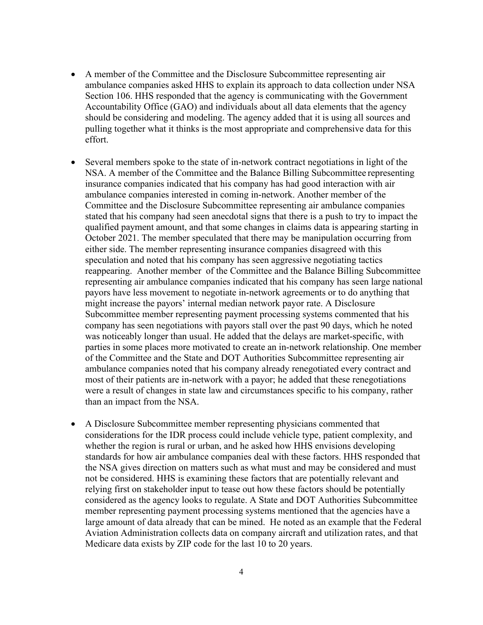- A member of the Committee and the Disclosure Subcommittee representing air ambulance companies asked HHS to explain its approach to data collection under NSA Section 106. HHS responded that the agency is communicating with the Government Accountability Office (GAO) and individuals about all data elements that the agency should be considering and modeling. The agency added that it is using all sources and pulling together what it thinks is the most appropriate and comprehensive data for this effort.
- Several members spoke to the state of in-network contract negotiations in light of the NSA. A member of the Committee and the Balance Billing Subcommittee representing insurance companies indicated that his company has had good interaction with air ambulance companies interested in coming in-network. Another member of the Committee and the Disclosure Subcommittee representing air ambulance companies stated that his company had seen anecdotal signs that there is a push to try to impact the qualified payment amount, and that some changes in claims data is appearing starting in October 2021. The member speculated that there may be manipulation occurring from either side. The member representing insurance companies disagreed with this speculation and noted that his company has seen aggressive negotiating tactics reappearing. Another member of the Committee and the Balance Billing Subcommittee representing air ambulance companies indicated that his company has seen large national payors have less movement to negotiate in-network agreements or to do anything that might increase the payors' internal median network payor rate. A Disclosure Subcommittee member representing payment processing systems commented that his company has seen negotiations with payors stall over the past 90 days, which he noted was noticeably longer than usual. He added that the delays are market-specific, with parties in some places more motivated to create an in-network relationship. One member of the Committee and the State and DOT Authorities Subcommittee representing air ambulance companies noted that his company already renegotiated every contract and most of their patients are in-network with a payor; he added that these renegotiations were a result of changes in state law and circumstances specific to his company, rather than an impact from the NSA.
- A Disclosure Subcommittee member representing physicians commented that considerations for the IDR process could include vehicle type, patient complexity, and whether the region is rural or urban, and he asked how HHS envisions developing standards for how air ambulance companies deal with these factors. HHS responded that the NSA gives direction on matters such as what must and may be considered and must not be considered. HHS is examining these factors that are potentially relevant and relying first on stakeholder input to tease out how these factors should be potentially considered as the agency looks to regulate. A State and DOT Authorities Subcommittee member representing payment processing systems mentioned that the agencies have a large amount of data already that can be mined. He noted as an example that the Federal Aviation Administration collects data on company aircraft and utilization rates, and that Medicare data exists by ZIP code for the last 10 to 20 years.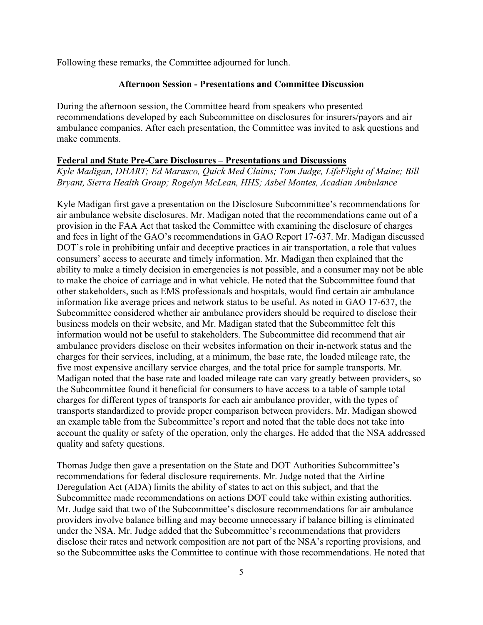Following these remarks, the Committee adjourned for lunch.

### **Afternoon Session - Presentations and Committee Discussion**

During the afternoon session, the Committee heard from speakers who presented recommendations developed by each Subcommittee on disclosures for insurers/payors and air ambulance companies. After each presentation, the Committee was invited to ask questions and make comments.

### **Federal and State Pre-Care Disclosures – Presentations and Discussions**

*Kyle Madigan, DHART; Ed Marasco, Quick Med Claims; Tom Judge, LifeFlight of Maine; Bill Bryant, Sierra Health Group; Rogelyn McLean, HHS; Asbel Montes, Acadian Ambulance*

Kyle Madigan first gave a presentation on the Disclosure Subcommittee's recommendations for air ambulance website disclosures. Mr. Madigan noted that the recommendations came out of a provision in the FAA Act that tasked the Committee with examining the disclosure of charges and fees in light of the GAO's recommendations in GAO Report 17-637. Mr. Madigan discussed DOT's role in prohibiting unfair and deceptive practices in air transportation, a role that values consumers' access to accurate and timely information. Mr. Madigan then explained that the ability to make a timely decision in emergencies is not possible, and a consumer may not be able to make the choice of carriage and in what vehicle. He noted that the Subcommittee found that other stakeholders, such as EMS professionals and hospitals, would find certain air ambulance information like average prices and network status to be useful. As noted in GAO 17-637, the Subcommittee considered whether air ambulance providers should be required to disclose their business models on their website, and Mr. Madigan stated that the Subcommittee felt this information would not be useful to stakeholders. The Subcommittee did recommend that air ambulance providers disclose on their websites information on their in-network status and the charges for their services, including, at a minimum, the base rate, the loaded mileage rate, the five most expensive ancillary service charges, and the total price for sample transports. Mr. Madigan noted that the base rate and loaded mileage rate can vary greatly between providers, so the Subcommittee found it beneficial for consumers to have access to a table of sample total charges for different types of transports for each air ambulance provider, with the types of transports standardized to provide proper comparison between providers. Mr. Madigan showed an example table from the Subcommittee's report and noted that the table does not take into account the quality or safety of the operation, only the charges. He added that the NSA addressed quality and safety questions.

Thomas Judge then gave a presentation on the State and DOT Authorities Subcommittee's recommendations for federal disclosure requirements. Mr. Judge noted that the Airline Deregulation Act (ADA) limits the ability of states to act on this subject, and that the Subcommittee made recommendations on actions DOT could take within existing authorities. Mr. Judge said that two of the Subcommittee's disclosure recommendations for air ambulance providers involve balance billing and may become unnecessary if balance billing is eliminated under the NSA. Mr. Judge added that the Subcommittee's recommendations that providers disclose their rates and network composition are not part of the NSA's reporting provisions, and so the Subcommittee asks the Committee to continue with those recommendations. He noted that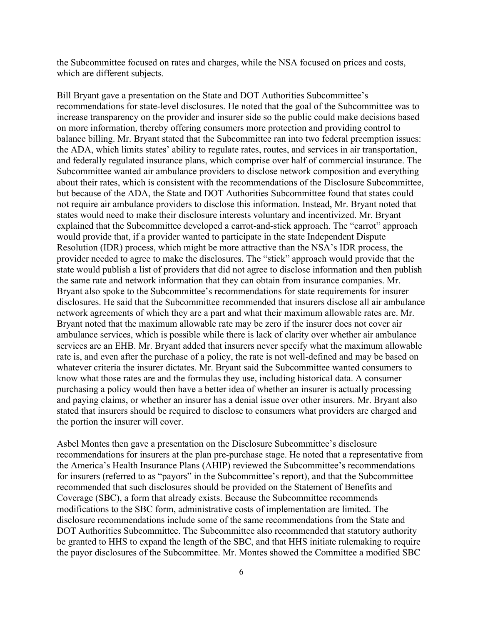the Subcommittee focused on rates and charges, while the NSA focused on prices and costs, which are different subjects.

Bill Bryant gave a presentation on the State and DOT Authorities Subcommittee's recommendations for state-level disclosures. He noted that the goal of the Subcommittee was to increase transparency on the provider and insurer side so the public could make decisions based on more information, thereby offering consumers more protection and providing control to balance billing. Mr. Bryant stated that the Subcommittee ran into two federal preemption issues: the ADA, which limits states' ability to regulate rates, routes, and services in air transportation, and federally regulated insurance plans, which comprise over half of commercial insurance. The Subcommittee wanted air ambulance providers to disclose network composition and everything about their rates, which is consistent with the recommendations of the Disclosure Subcommittee, but because of the ADA, the State and DOT Authorities Subcommittee found that states could not require air ambulance providers to disclose this information. Instead, Mr. Bryant noted that states would need to make their disclosure interests voluntary and incentivized. Mr. Bryant explained that the Subcommittee developed a carrot-and-stick approach. The "carrot" approach would provide that, if a provider wanted to participate in the state Independent Dispute Resolution (IDR) process, which might be more attractive than the NSA's IDR process, the provider needed to agree to make the disclosures. The "stick" approach would provide that the state would publish a list of providers that did not agree to disclose information and then publish the same rate and network information that they can obtain from insurance companies. Mr. Bryant also spoke to the Subcommittee's recommendations for state requirements for insurer disclosures. He said that the Subcommittee recommended that insurers disclose all air ambulance network agreements of which they are a part and what their maximum allowable rates are. Mr. Bryant noted that the maximum allowable rate may be zero if the insurer does not cover air ambulance services, which is possible while there is lack of clarity over whether air ambulance services are an EHB. Mr. Bryant added that insurers never specify what the maximum allowable rate is, and even after the purchase of a policy, the rate is not well-defined and may be based on whatever criteria the insurer dictates. Mr. Bryant said the Subcommittee wanted consumers to know what those rates are and the formulas they use, including historical data. A consumer purchasing a policy would then have a better idea of whether an insurer is actually processing and paying claims, or whether an insurer has a denial issue over other insurers. Mr. Bryant also stated that insurers should be required to disclose to consumers what providers are charged and the portion the insurer will cover.

Asbel Montes then gave a presentation on the Disclosure Subcommittee's disclosure recommendations for insurers at the plan pre-purchase stage. He noted that a representative from the America's Health Insurance Plans (AHIP) reviewed the Subcommittee's recommendations for insurers (referred to as "payors" in the Subcommittee's report), and that the Subcommittee recommended that such disclosures should be provided on the Statement of Benefits and Coverage (SBC), a form that already exists. Because the Subcommittee recommends modifications to the SBC form, administrative costs of implementation are limited. The disclosure recommendations include some of the same recommendations from the State and DOT Authorities Subcommittee. The Subcommittee also recommended that statutory authority be granted to HHS to expand the length of the SBC, and that HHS initiate rulemaking to require the payor disclosures of the Subcommittee. Mr. Montes showed the Committee a modified SBC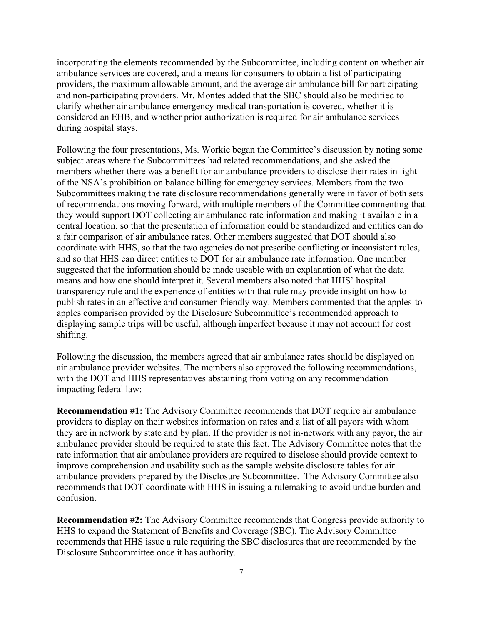incorporating the elements recommended by the Subcommittee, including content on whether air ambulance services are covered, and a means for consumers to obtain a list of participating providers, the maximum allowable amount, and the average air ambulance bill for participating and non-participating providers. Mr. Montes added that the SBC should also be modified to clarify whether air ambulance emergency medical transportation is covered, whether it is considered an EHB, and whether prior authorization is required for air ambulance services during hospital stays.

Following the four presentations, Ms. Workie began the Committee's discussion by noting some subject areas where the Subcommittees had related recommendations, and she asked the members whether there was a benefit for air ambulance providers to disclose their rates in light of the NSA's prohibition on balance billing for emergency services. Members from the two Subcommittees making the rate disclosure recommendations generally were in favor of both sets of recommendations moving forward, with multiple members of the Committee commenting that they would support DOT collecting air ambulance rate information and making it available in a central location, so that the presentation of information could be standardized and entities can do a fair comparison of air ambulance rates. Other members suggested that DOT should also coordinate with HHS, so that the two agencies do not prescribe conflicting or inconsistent rules, and so that HHS can direct entities to DOT for air ambulance rate information. One member suggested that the information should be made useable with an explanation of what the data means and how one should interpret it. Several members also noted that HHS' hospital transparency rule and the experience of entities with that rule may provide insight on how to publish rates in an effective and consumer-friendly way. Members commented that the apples-toapples comparison provided by the Disclosure Subcommittee's recommended approach to displaying sample trips will be useful, although imperfect because it may not account for cost shifting.

Following the discussion, the members agreed that air ambulance rates should be displayed on air ambulance provider websites. The members also approved the following recommendations, with the DOT and HHS representatives abstaining from voting on any recommendation impacting federal law:

**Recommendation #1:** The Advisory Committee recommends that DOT require air ambulance providers to display on their websites information on rates and a list of all payors with whom they are in network by state and by plan. If the provider is not in-network with any payor, the air ambulance provider should be required to state this fact. The Advisory Committee notes that the rate information that air ambulance providers are required to disclose should provide context to improve comprehension and usability such as the sample website disclosure tables for air ambulance providers prepared by the Disclosure Subcommittee. The Advisory Committee also recommends that DOT coordinate with HHS in issuing a rulemaking to avoid undue burden and confusion.

**Recommendation #2:** The Advisory Committee recommends that Congress provide authority to HHS to expand the Statement of Benefits and Coverage (SBC). The Advisory Committee recommends that HHS issue a rule requiring the SBC disclosures that are recommended by the Disclosure Subcommittee once it has authority.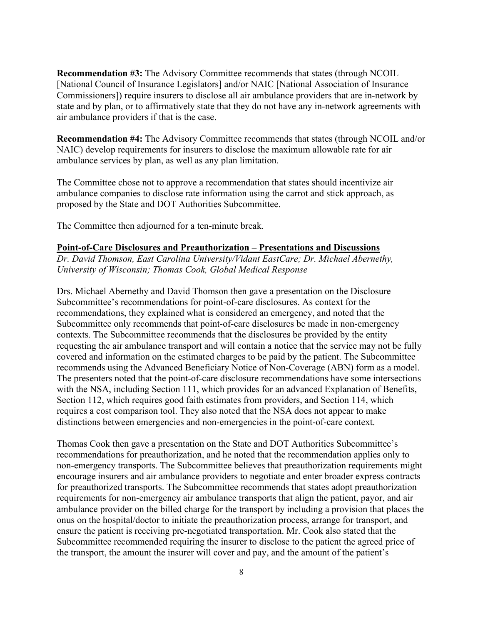**Recommendation #3:** The Advisory Committee recommends that states (through NCOIL [National Council of Insurance Legislators] and/or NAIC [National Association of Insurance Commissioners]) require insurers to disclose all air ambulance providers that are in-network by state and by plan, or to affirmatively state that they do not have any in-network agreements with air ambulance providers if that is the case.

**Recommendation #4:** The Advisory Committee recommends that states (through NCOIL and/or NAIC) develop requirements for insurers to disclose the maximum allowable rate for air ambulance services by plan, as well as any plan limitation.

The Committee chose not to approve a recommendation that states should incentivize air ambulance companies to disclose rate information using the carrot and stick approach, as proposed by the State and DOT Authorities Subcommittee.

The Committee then adjourned for a ten-minute break.

#### **Point-of-Care Disclosures and Preauthorization – Presentations and Discussions**

*Dr. David Thomson, East Carolina University/Vidant EastCare; Dr. Michael Abernethy, University of Wisconsin; Thomas Cook, Global Medical Response*

Drs. Michael Abernethy and David Thomson then gave a presentation on the Disclosure Subcommittee's recommendations for point-of-care disclosures. As context for the recommendations, they explained what is considered an emergency, and noted that the Subcommittee only recommends that point-of-care disclosures be made in non-emergency contexts. The Subcommittee recommends that the disclosures be provided by the entity requesting the air ambulance transport and will contain a notice that the service may not be fully covered and information on the estimated charges to be paid by the patient. The Subcommittee recommends using the Advanced Beneficiary Notice of Non-Coverage (ABN) form as a model. The presenters noted that the point-of-care disclosure recommendations have some intersections with the NSA, including Section 111, which provides for an advanced Explanation of Benefits, Section 112, which requires good faith estimates from providers, and Section 114, which requires a cost comparison tool. They also noted that the NSA does not appear to make distinctions between emergencies and non-emergencies in the point-of-care context.

Thomas Cook then gave a presentation on the State and DOT Authorities Subcommittee's recommendations for preauthorization, and he noted that the recommendation applies only to non-emergency transports. The Subcommittee believes that preauthorization requirements might encourage insurers and air ambulance providers to negotiate and enter broader express contracts for preauthorized transports. The Subcommittee recommends that states adopt preauthorization requirements for non-emergency air ambulance transports that align the patient, payor, and air ambulance provider on the billed charge for the transport by including a provision that places the onus on the hospital/doctor to initiate the preauthorization process, arrange for transport, and ensure the patient is receiving pre-negotiated transportation. Mr. Cook also stated that the Subcommittee recommended requiring the insurer to disclose to the patient the agreed price of the transport, the amount the insurer will cover and pay, and the amount of the patient's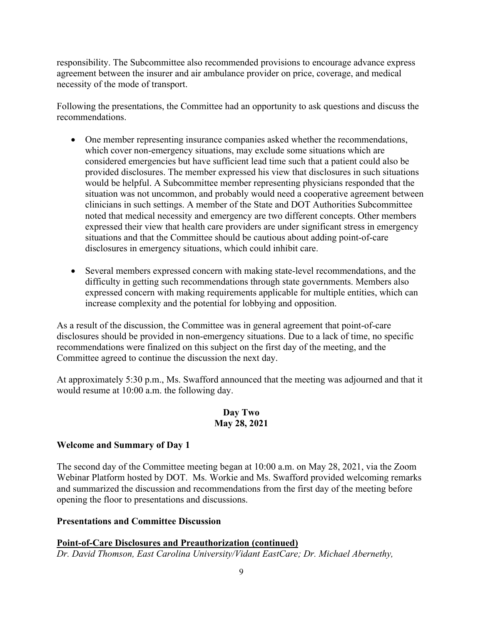responsibility. The Subcommittee also recommended provisions to encourage advance express agreement between the insurer and air ambulance provider on price, coverage, and medical necessity of the mode of transport.

Following the presentations, the Committee had an opportunity to ask questions and discuss the recommendations.

- One member representing insurance companies asked whether the recommendations, which cover non-emergency situations, may exclude some situations which are considered emergencies but have sufficient lead time such that a patient could also be provided disclosures. The member expressed his view that disclosures in such situations would be helpful. A Subcommittee member representing physicians responded that the situation was not uncommon, and probably would need a cooperative agreement between clinicians in such settings. A member of the State and DOT Authorities Subcommittee noted that medical necessity and emergency are two different concepts. Other members expressed their view that health care providers are under significant stress in emergency situations and that the Committee should be cautious about adding point-of-care disclosures in emergency situations, which could inhibit care.
- Several members expressed concern with making state-level recommendations, and the difficulty in getting such recommendations through state governments. Members also expressed concern with making requirements applicable for multiple entities, which can increase complexity and the potential for lobbying and opposition.

As a result of the discussion, the Committee was in general agreement that point-of-care disclosures should be provided in non-emergency situations. Due to a lack of time, no specific recommendations were finalized on this subject on the first day of the meeting, and the Committee agreed to continue the discussion the next day.

At approximately 5:30 p.m., Ms. Swafford announced that the meeting was adjourned and that it would resume at 10:00 a.m. the following day.

## **Day Two May 28, 2021**

## **Welcome and Summary of Day 1**

The second day of the Committee meeting began at 10:00 a.m. on May 28, 2021, via the Zoom Webinar Platform hosted by DOT. Ms. Workie and Ms. Swafford provided welcoming remarks and summarized the discussion and recommendations from the first day of the meeting before opening the floor to presentations and discussions.

### **Presentations and Committee Discussion**

**Point-of-Care Disclosures and Preauthorization (continued)** *Dr. David Thomson, East Carolina University/Vidant EastCare; Dr. Michael Abernethy,*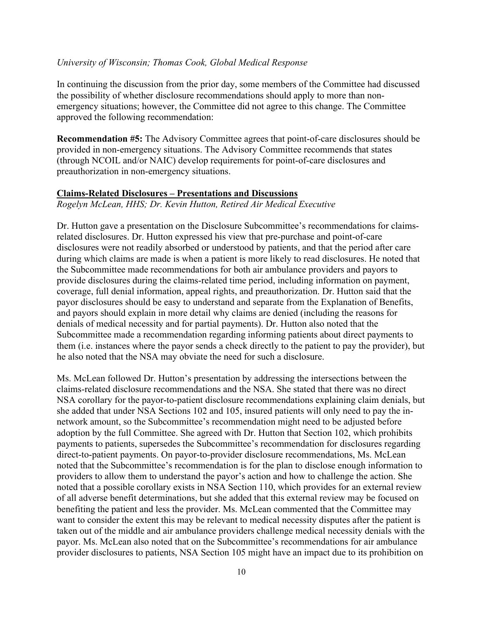### *University of Wisconsin; Thomas Cook, Global Medical Response*

In continuing the discussion from the prior day, some members of the Committee had discussed the possibility of whether disclosure recommendations should apply to more than nonemergency situations; however, the Committee did not agree to this change. The Committee approved the following recommendation:

**Recommendation #5:** The Advisory Committee agrees that point-of-care disclosures should be provided in non-emergency situations. The Advisory Committee recommends that states (through NCOIL and/or NAIC) develop requirements for point-of-care disclosures and preauthorization in non-emergency situations.

#### **Claims-Related Disclosures – Presentations and Discussions**

*Rogelyn McLean, HHS; Dr. Kevin Hutton, Retired Air Medical Executive*

Dr. Hutton gave a presentation on the Disclosure Subcommittee's recommendations for claimsrelated disclosures. Dr. Hutton expressed his view that pre-purchase and point-of-care disclosures were not readily absorbed or understood by patients, and that the period after care during which claims are made is when a patient is more likely to read disclosures. He noted that the Subcommittee made recommendations for both air ambulance providers and payors to provide disclosures during the claims-related time period, including information on payment, coverage, full denial information, appeal rights, and preauthorization. Dr. Hutton said that the payor disclosures should be easy to understand and separate from the Explanation of Benefits, and payors should explain in more detail why claims are denied (including the reasons for denials of medical necessity and for partial payments). Dr. Hutton also noted that the Subcommittee made a recommendation regarding informing patients about direct payments to them (i.e. instances where the payor sends a check directly to the patient to pay the provider), but he also noted that the NSA may obviate the need for such a disclosure.

Ms. McLean followed Dr. Hutton's presentation by addressing the intersections between the claims-related disclosure recommendations and the NSA. She stated that there was no direct NSA corollary for the payor-to-patient disclosure recommendations explaining claim denials, but she added that under NSA Sections 102 and 105, insured patients will only need to pay the innetwork amount, so the Subcommittee's recommendation might need to be adjusted before adoption by the full Committee. She agreed with Dr. Hutton that Section 102, which prohibits payments to patients, supersedes the Subcommittee's recommendation for disclosures regarding direct-to-patient payments. On payor-to-provider disclosure recommendations, Ms. McLean noted that the Subcommittee's recommendation is for the plan to disclose enough information to providers to allow them to understand the payor's action and how to challenge the action. She noted that a possible corollary exists in NSA Section 110, which provides for an external review of all adverse benefit determinations, but she added that this external review may be focused on benefiting the patient and less the provider. Ms. McLean commented that the Committee may want to consider the extent this may be relevant to medical necessity disputes after the patient is taken out of the middle and air ambulance providers challenge medical necessity denials with the payor. Ms. McLean also noted that on the Subcommittee's recommendations for air ambulance provider disclosures to patients, NSA Section 105 might have an impact due to its prohibition on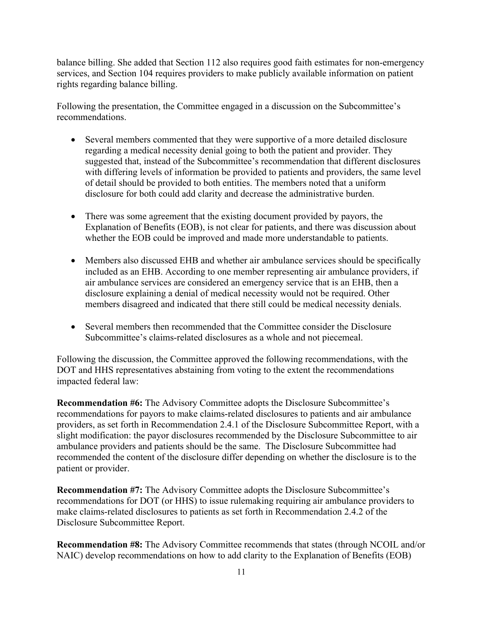balance billing. She added that Section 112 also requires good faith estimates for non-emergency services, and Section 104 requires providers to make publicly available information on patient rights regarding balance billing.

Following the presentation, the Committee engaged in a discussion on the Subcommittee's recommendations.

- Several members commented that they were supportive of a more detailed disclosure regarding a medical necessity denial going to both the patient and provider. They suggested that, instead of the Subcommittee's recommendation that different disclosures with differing levels of information be provided to patients and providers, the same level of detail should be provided to both entities. The members noted that a uniform disclosure for both could add clarity and decrease the administrative burden.
- There was some agreement that the existing document provided by payors, the Explanation of Benefits (EOB), is not clear for patients, and there was discussion about whether the EOB could be improved and made more understandable to patients.
- Members also discussed EHB and whether air ambulance services should be specifically included as an EHB. According to one member representing air ambulance providers, if air ambulance services are considered an emergency service that is an EHB, then a disclosure explaining a denial of medical necessity would not be required. Other members disagreed and indicated that there still could be medical necessity denials.
- Several members then recommended that the Committee consider the Disclosure Subcommittee's claims-related disclosures as a whole and not piecemeal.

Following the discussion, the Committee approved the following recommendations, with the DOT and HHS representatives abstaining from voting to the extent the recommendations impacted federal law:

**Recommendation #6:** The Advisory Committee adopts the Disclosure Subcommittee's recommendations for payors to make claims-related disclosures to patients and air ambulance providers, as set forth in Recommendation 2.4.1 of the Disclosure Subcommittee Report, with a slight modification: the payor disclosures recommended by the Disclosure Subcommittee to air ambulance providers and patients should be the same. The Disclosure Subcommittee had recommended the content of the disclosure differ depending on whether the disclosure is to the patient or provider.

**Recommendation #7:** The Advisory Committee adopts the Disclosure Subcommittee's recommendations for DOT (or HHS) to issue rulemaking requiring air ambulance providers to make claims-related disclosures to patients as set forth in Recommendation 2.4.2 of the Disclosure Subcommittee Report.

**Recommendation #8:** The Advisory Committee recommends that states (through NCOIL and/or NAIC) develop recommendations on how to add clarity to the Explanation of Benefits (EOB)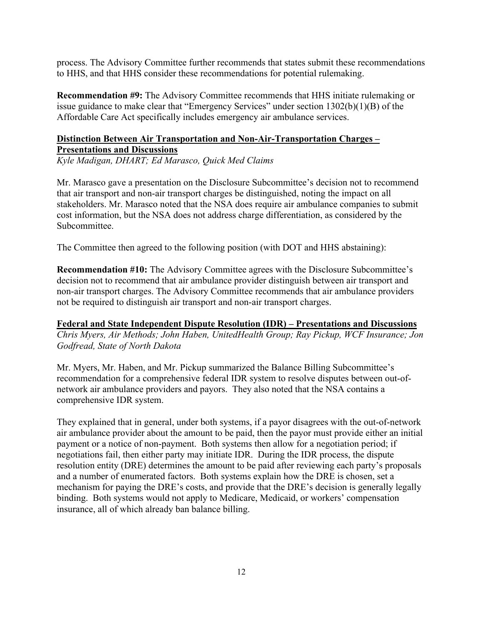process. The Advisory Committee further recommends that states submit these recommendations to HHS, and that HHS consider these recommendations for potential rulemaking.

**Recommendation #9:** The Advisory Committee recommends that HHS initiate rulemaking or issue guidance to make clear that "Emergency Services" under section 1302(b)(1)(B) of the Affordable Care Act specifically includes emergency air ambulance services.

## **Distinction Between Air Transportation and Non-Air-Transportation Charges – Presentations and Discussions**

*Kyle Madigan, DHART; Ed Marasco, Quick Med Claims*

Mr. Marasco gave a presentation on the Disclosure Subcommittee's decision not to recommend that air transport and non-air transport charges be distinguished, noting the impact on all stakeholders. Mr. Marasco noted that the NSA does require air ambulance companies to submit cost information, but the NSA does not address charge differentiation, as considered by the Subcommittee.

The Committee then agreed to the following position (with DOT and HHS abstaining):

**Recommendation #10:** The Advisory Committee agrees with the Disclosure Subcommittee's decision not to recommend that air ambulance provider distinguish between air transport and non-air transport charges. The Advisory Committee recommends that air ambulance providers not be required to distinguish air transport and non-air transport charges.

**Federal and State Independent Dispute Resolution (IDR) – Presentations and Discussions** *Chris Myers, Air Methods; John Haben, UnitedHealth Group; Ray Pickup, WCF Insurance; Jon Godfread, State of North Dakota*

Mr. Myers, Mr. Haben, and Mr. Pickup summarized the Balance Billing Subcommittee's recommendation for a comprehensive federal IDR system to resolve disputes between out-ofnetwork air ambulance providers and payors. They also noted that the NSA contains a comprehensive IDR system.

They explained that in general, under both systems, if a payor disagrees with the out-of-network air ambulance provider about the amount to be paid, then the payor must provide either an initial payment or a notice of non-payment. Both systems then allow for a negotiation period; if negotiations fail, then either party may initiate IDR. During the IDR process, the dispute resolution entity (DRE) determines the amount to be paid after reviewing each party's proposals and a number of enumerated factors. Both systems explain how the DRE is chosen, set a mechanism for paying the DRE's costs, and provide that the DRE's decision is generally legally binding. Both systems would not apply to Medicare, Medicaid, or workers' compensation insurance, all of which already ban balance billing.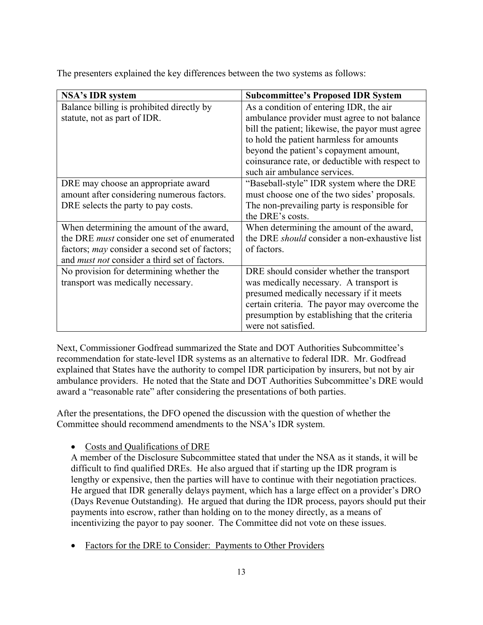The presenters explained the key differences between the two systems as follows:

| <b>NSA's IDR system</b>                               | <b>Subcommittee's Proposed IDR System</b>            |
|-------------------------------------------------------|------------------------------------------------------|
| Balance billing is prohibited directly by             | As a condition of entering IDR, the air              |
| statute, not as part of IDR.                          | ambulance provider must agree to not balance         |
|                                                       | bill the patient; likewise, the payor must agree     |
|                                                       | to hold the patient harmless for amounts             |
|                                                       | beyond the patient's copayment amount,               |
|                                                       | coinsurance rate, or deductible with respect to      |
|                                                       | such air ambulance services.                         |
| DRE may choose an appropriate award                   | "Baseball-style" IDR system where the DRE            |
| amount after considering numerous factors.            | must choose one of the two sides' proposals.         |
| DRE selects the party to pay costs.                   | The non-prevailing party is responsible for          |
|                                                       | the DRE's costs.                                     |
| When determining the amount of the award,             | When determining the amount of the award,            |
| the DRE <i>must</i> consider one set of enumerated    | the DRE <i>should</i> consider a non-exhaustive list |
| factors; <i>may</i> consider a second set of factors; | of factors.                                          |
| and <i>must not</i> consider a third set of factors.  |                                                      |
| No provision for determining whether the              | DRE should consider whether the transport            |
| transport was medically necessary.                    | was medically necessary. A transport is              |
|                                                       | presumed medically necessary if it meets             |
|                                                       | certain criteria. The payor may overcome the         |
|                                                       | presumption by establishing that the criteria        |
|                                                       | were not satisfied.                                  |

Next, Commissioner Godfread summarized the State and DOT Authorities Subcommittee's recommendation for state-level IDR systems as an alternative to federal IDR. Mr. Godfread explained that States have the authority to compel IDR participation by insurers, but not by air ambulance providers. He noted that the State and DOT Authorities Subcommittee's DRE would award a "reasonable rate" after considering the presentations of both parties.

After the presentations, the DFO opened the discussion with the question of whether the Committee should recommend amendments to the NSA's IDR system.

• Costs and Qualifications of DRE

A member of the Disclosure Subcommittee stated that under the NSA as it stands, it will be difficult to find qualified DREs. He also argued that if starting up the IDR program is lengthy or expensive, then the parties will have to continue with their negotiation practices. He argued that IDR generally delays payment, which has a large effect on a provider's DRO (Days Revenue Outstanding). He argued that during the IDR process, payors should put their payments into escrow, rather than holding on to the money directly, as a means of incentivizing the payor to pay sooner. The Committee did not vote on these issues.

• Factors for the DRE to Consider: Payments to Other Providers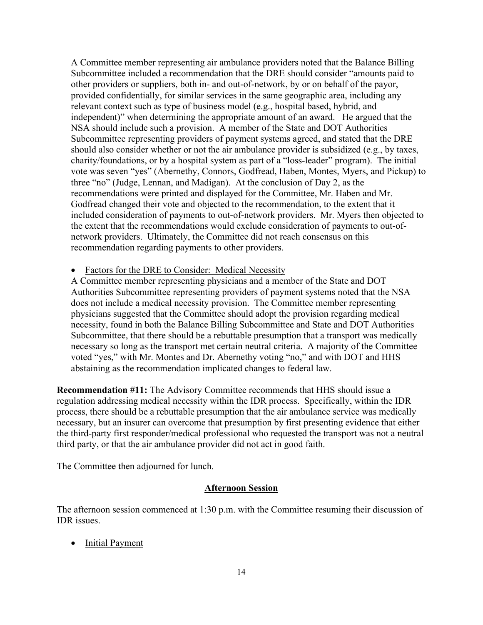A Committee member representing air ambulance providers noted that the Balance Billing Subcommittee included a recommendation that the DRE should consider "amounts paid to other providers or suppliers, both in- and out-of-network, by or on behalf of the payor, provided confidentially, for similar services in the same geographic area, including any relevant context such as type of business model (e.g., hospital based, hybrid, and independent)" when determining the appropriate amount of an award. He argued that the NSA should include such a provision. A member of the State and DOT Authorities Subcommittee representing providers of payment systems agreed, and stated that the DRE should also consider whether or not the air ambulance provider is subsidized (e.g., by taxes, charity/foundations, or by a hospital system as part of a "loss-leader" program). The initial vote was seven "yes" (Abernethy, Connors, Godfread, Haben, Montes, Myers, and Pickup) to three "no" (Judge, Lennan, and Madigan). At the conclusion of Day 2, as the recommendations were printed and displayed for the Committee, Mr. Haben and Mr. Godfread changed their vote and objected to the recommendation, to the extent that it included consideration of payments to out-of-network providers. Mr. Myers then objected to the extent that the recommendations would exclude consideration of payments to out-ofnetwork providers. Ultimately, the Committee did not reach consensus on this recommendation regarding payments to other providers.

Factors for the DRE to Consider: Medical Necessity

A Committee member representing physicians and a member of the State and DOT Authorities Subcommittee representing providers of payment systems noted that the NSA does not include a medical necessity provision. The Committee member representing physicians suggested that the Committee should adopt the provision regarding medical necessity, found in both the Balance Billing Subcommittee and State and DOT Authorities Subcommittee, that there should be a rebuttable presumption that a transport was medically necessary so long as the transport met certain neutral criteria. A majority of the Committee voted "yes," with Mr. Montes and Dr. Abernethy voting "no," and with DOT and HHS abstaining as the recommendation implicated changes to federal law.

**Recommendation #11:** The Advisory Committee recommends that HHS should issue a regulation addressing medical necessity within the IDR process. Specifically, within the IDR process, there should be a rebuttable presumption that the air ambulance service was medically necessary, but an insurer can overcome that presumption by first presenting evidence that either the third-party first responder/medical professional who requested the transport was not a neutral third party, or that the air ambulance provider did not act in good faith.

The Committee then adjourned for lunch.

#### **Afternoon Session**

The afternoon session commenced at 1:30 p.m. with the Committee resuming their discussion of IDR issues.

• Initial Payment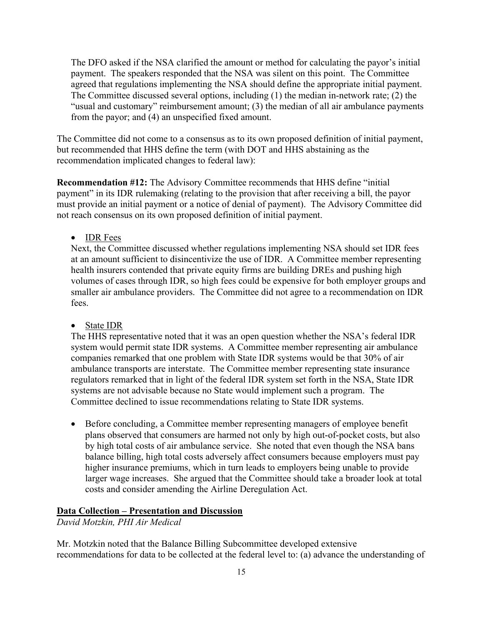The DFO asked if the NSA clarified the amount or method for calculating the payor's initial payment. The speakers responded that the NSA was silent on this point. The Committee agreed that regulations implementing the NSA should define the appropriate initial payment. The Committee discussed several options, including (1) the median in-network rate; (2) the "usual and customary" reimbursement amount; (3) the median of all air ambulance payments from the payor; and (4) an unspecified fixed amount.

The Committee did not come to a consensus as to its own proposed definition of initial payment, but recommended that HHS define the term (with DOT and HHS abstaining as the recommendation implicated changes to federal law):

**Recommendation #12:** The Advisory Committee recommends that HHS define "initial payment" in its IDR rulemaking (relating to the provision that after receiving a bill, the payor must provide an initial payment or a notice of denial of payment). The Advisory Committee did not reach consensus on its own proposed definition of initial payment.

• IDR Fees

Next, the Committee discussed whether regulations implementing NSA should set IDR fees at an amount sufficient to disincentivize the use of IDR. A Committee member representing health insurers contended that private equity firms are building DREs and pushing high volumes of cases through IDR, so high fees could be expensive for both employer groups and smaller air ambulance providers. The Committee did not agree to a recommendation on IDR fees.

### • State **IDR**

The HHS representative noted that it was an open question whether the NSA's federal IDR system would permit state IDR systems. A Committee member representing air ambulance companies remarked that one problem with State IDR systems would be that 30% of air ambulance transports are interstate. The Committee member representing state insurance regulators remarked that in light of the federal IDR system set forth in the NSA, State IDR systems are not advisable because no State would implement such a program. The Committee declined to issue recommendations relating to State IDR systems.

• Before concluding, a Committee member representing managers of employee benefit plans observed that consumers are harmed not only by high out-of-pocket costs, but also by high total costs of air ambulance service. She noted that even though the NSA bans balance billing, high total costs adversely affect consumers because employers must pay higher insurance premiums, which in turn leads to employers being unable to provide larger wage increases. She argued that the Committee should take a broader look at total costs and consider amending the Airline Deregulation Act.

#### **Data Collection – Presentation and Discussion**

*David Motzkin, PHI Air Medical*

Mr. Motzkin noted that the Balance Billing Subcommittee developed extensive recommendations for data to be collected at the federal level to: (a) advance the understanding of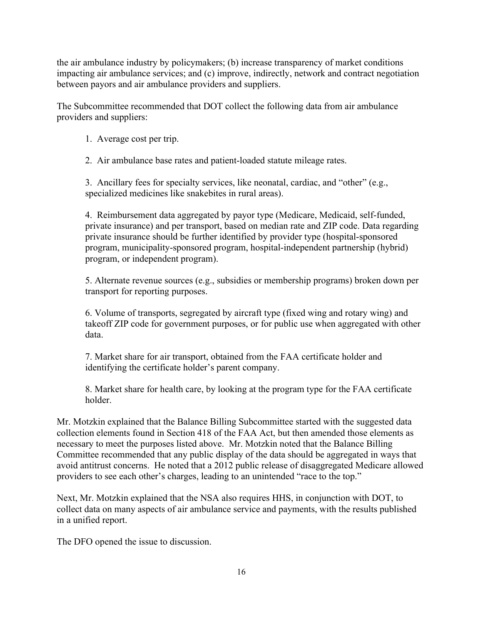the air ambulance industry by policymakers; (b) increase transparency of market conditions impacting air ambulance services; and (c) improve, indirectly, network and contract negotiation between payors and air ambulance providers and suppliers.

The Subcommittee recommended that DOT collect the following data from air ambulance providers and suppliers:

1. Average cost per trip.

2. Air ambulance base rates and patient-loaded statute mileage rates.

3. Ancillary fees for specialty services, like neonatal, cardiac, and "other" (e.g., specialized medicines like snakebites in rural areas).

4. Reimbursement data aggregated by payor type (Medicare, Medicaid, self-funded, private insurance) and per transport, based on median rate and ZIP code. Data regarding private insurance should be further identified by provider type (hospital-sponsored program, municipality-sponsored program, hospital-independent partnership (hybrid) program, or independent program).

5. Alternate revenue sources (e.g., subsidies or membership programs) broken down per transport for reporting purposes.

6. Volume of transports, segregated by aircraft type (fixed wing and rotary wing) and takeoff ZIP code for government purposes, or for public use when aggregated with other data.

7. Market share for air transport, obtained from the FAA certificate holder and identifying the certificate holder's parent company.

8. Market share for health care, by looking at the program type for the FAA certificate holder.

Mr. Motzkin explained that the Balance Billing Subcommittee started with the suggested data collection elements found in Section 418 of the FAA Act, but then amended those elements as necessary to meet the purposes listed above. Mr. Motzkin noted that the Balance Billing Committee recommended that any public display of the data should be aggregated in ways that avoid antitrust concerns. He noted that a 2012 public release of disaggregated Medicare allowed providers to see each other's charges, leading to an unintended "race to the top."

Next, Mr. Motzkin explained that the NSA also requires HHS, in conjunction with DOT, to collect data on many aspects of air ambulance service and payments, with the results published in a unified report.

The DFO opened the issue to discussion.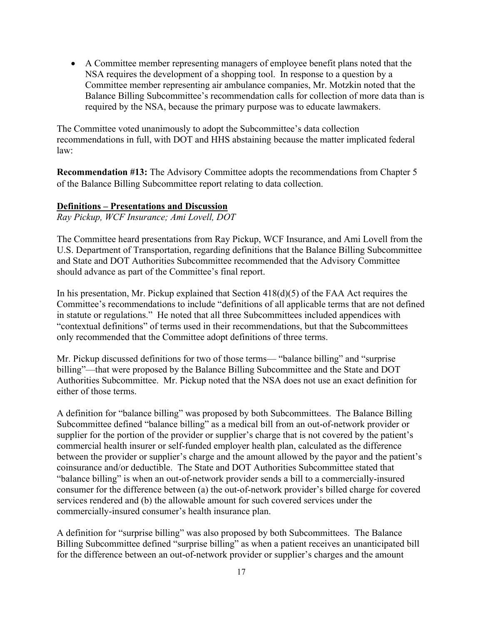• A Committee member representing managers of employee benefit plans noted that the NSA requires the development of a shopping tool. In response to a question by a Committee member representing air ambulance companies, Mr. Motzkin noted that the Balance Billing Subcommittee's recommendation calls for collection of more data than is required by the NSA, because the primary purpose was to educate lawmakers.

The Committee voted unanimously to adopt the Subcommittee's data collection recommendations in full, with DOT and HHS abstaining because the matter implicated federal law:

**Recommendation #13:** The Advisory Committee adopts the recommendations from Chapter 5 of the Balance Billing Subcommittee report relating to data collection.

#### **Definitions – Presentations and Discussion**

*Ray Pickup, WCF Insurance; Ami Lovell, DOT*

The Committee heard presentations from Ray Pickup, WCF Insurance, and Ami Lovell from the U.S. Department of Transportation, regarding definitions that the Balance Billing Subcommittee and State and DOT Authorities Subcommittee recommended that the Advisory Committee should advance as part of the Committee's final report.

In his presentation, Mr. Pickup explained that Section 418(d)(5) of the FAA Act requires the Committee's recommendations to include "definitions of all applicable terms that are not defined in statute or regulations." He noted that all three Subcommittees included appendices with "contextual definitions" of terms used in their recommendations, but that the Subcommittees only recommended that the Committee adopt definitions of three terms.

Mr. Pickup discussed definitions for two of those terms— "balance billing" and "surprise billing"—that were proposed by the Balance Billing Subcommittee and the State and DOT Authorities Subcommittee. Mr. Pickup noted that the NSA does not use an exact definition for either of those terms.

A definition for "balance billing" was proposed by both Subcommittees. The Balance Billing Subcommittee defined "balance billing" as a medical bill from an out-of-network provider or supplier for the portion of the provider or supplier's charge that is not covered by the patient's commercial health insurer or self-funded employer health plan, calculated as the difference between the provider or supplier's charge and the amount allowed by the payor and the patient's coinsurance and/or deductible. The State and DOT Authorities Subcommittee stated that "balance billing" is when an out-of-network provider sends a bill to a commercially-insured consumer for the difference between (a) the out-of-network provider's billed charge for covered services rendered and (b) the allowable amount for such covered services under the commercially-insured consumer's health insurance plan.

A definition for "surprise billing" was also proposed by both Subcommittees. The Balance Billing Subcommittee defined "surprise billing" as when a patient receives an unanticipated bill for the difference between an out-of-network provider or supplier's charges and the amount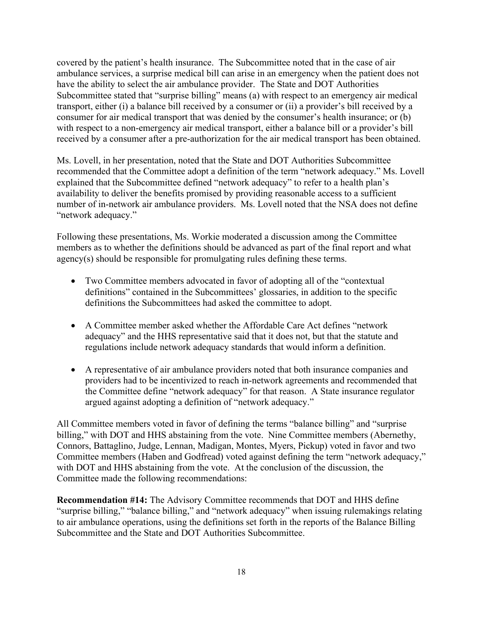covered by the patient's health insurance. The Subcommittee noted that in the case of air ambulance services, a surprise medical bill can arise in an emergency when the patient does not have the ability to select the air ambulance provider. The State and DOT Authorities Subcommittee stated that "surprise billing" means (a) with respect to an emergency air medical transport, either (i) a balance bill received by a consumer or (ii) a provider's bill received by a consumer for air medical transport that was denied by the consumer's health insurance; or (b) with respect to a non-emergency air medical transport, either a balance bill or a provider's bill received by a consumer after a pre-authorization for the air medical transport has been obtained.

Ms. Lovell, in her presentation, noted that the State and DOT Authorities Subcommittee recommended that the Committee adopt a definition of the term "network adequacy." Ms. Lovell explained that the Subcommittee defined "network adequacy" to refer to a health plan's availability to deliver the benefits promised by providing reasonable access to a sufficient number of in-network air ambulance providers. Ms. Lovell noted that the NSA does not define "network adequacy."

Following these presentations, Ms. Workie moderated a discussion among the Committee members as to whether the definitions should be advanced as part of the final report and what agency(s) should be responsible for promulgating rules defining these terms.

- Two Committee members advocated in favor of adopting all of the "contextual" definitions" contained in the Subcommittees' glossaries, in addition to the specific definitions the Subcommittees had asked the committee to adopt.
- A Committee member asked whether the Affordable Care Act defines "network adequacy" and the HHS representative said that it does not, but that the statute and regulations include network adequacy standards that would inform a definition.
- A representative of air ambulance providers noted that both insurance companies and providers had to be incentivized to reach in-network agreements and recommended that the Committee define "network adequacy" for that reason. A State insurance regulator argued against adopting a definition of "network adequacy."

All Committee members voted in favor of defining the terms "balance billing" and "surprise billing," with DOT and HHS abstaining from the vote. Nine Committee members (Abernethy, Connors, Battaglino, Judge, Lennan, Madigan, Montes, Myers, Pickup) voted in favor and two Committee members (Haben and Godfread) voted against defining the term "network adequacy," with DOT and HHS abstaining from the vote. At the conclusion of the discussion, the Committee made the following recommendations:

**Recommendation #14:** The Advisory Committee recommends that DOT and HHS define "surprise billing," "balance billing," and "network adequacy" when issuing rulemakings relating to air ambulance operations, using the definitions set forth in the reports of the Balance Billing Subcommittee and the State and DOT Authorities Subcommittee.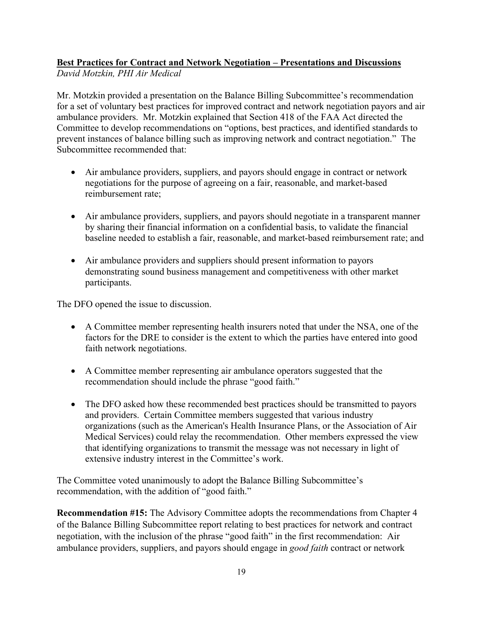### **Best Practices for Contract and Network Negotiation – Presentations and Discussions** *David Motzkin, PHI Air Medical*

Mr. Motzkin provided a presentation on the Balance Billing Subcommittee's recommendation for a set of voluntary best practices for improved contract and network negotiation payors and air ambulance providers. Mr. Motzkin explained that Section 418 of the FAA Act directed the Committee to develop recommendations on "options, best practices, and identified standards to prevent instances of balance billing such as improving network and contract negotiation." The Subcommittee recommended that:

- Air ambulance providers, suppliers, and payors should engage in contract or network negotiations for the purpose of agreeing on a fair, reasonable, and market-based reimbursement rate;
- Air ambulance providers, suppliers, and payors should negotiate in a transparent manner by sharing their financial information on a confidential basis, to validate the financial baseline needed to establish a fair, reasonable, and market-based reimbursement rate; and
- Air ambulance providers and suppliers should present information to payors demonstrating sound business management and competitiveness with other market participants.

The DFO opened the issue to discussion.

- A Committee member representing health insurers noted that under the NSA, one of the factors for the DRE to consider is the extent to which the parties have entered into good faith network negotiations.
- A Committee member representing air ambulance operators suggested that the recommendation should include the phrase "good faith."
- The DFO asked how these recommended best practices should be transmitted to payors and providers. Certain Committee members suggested that various industry organizations (such as the American's Health Insurance Plans, or the Association of Air Medical Services) could relay the recommendation. Other members expressed the view that identifying organizations to transmit the message was not necessary in light of extensive industry interest in the Committee's work.

The Committee voted unanimously to adopt the Balance Billing Subcommittee's recommendation, with the addition of "good faith."

**Recommendation #15:** The Advisory Committee adopts the recommendations from Chapter 4 of the Balance Billing Subcommittee report relating to best practices for network and contract negotiation, with the inclusion of the phrase "good faith" in the first recommendation: Air ambulance providers, suppliers, and payors should engage in *good faith* contract or network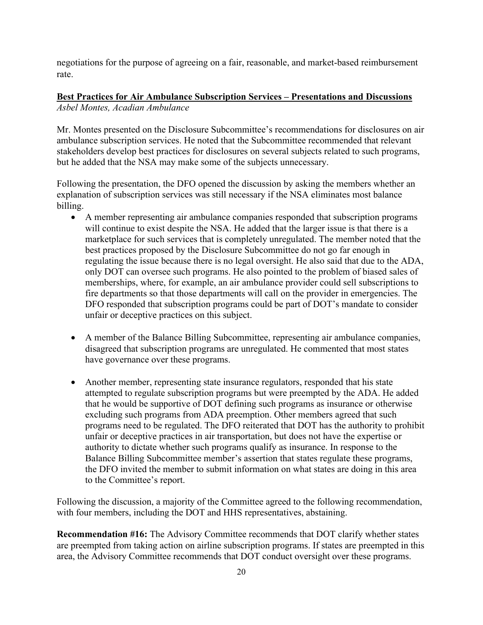negotiations for the purpose of agreeing on a fair, reasonable, and market-based reimbursement rate.

### **Best Practices for Air Ambulance Subscription Services – Presentations and Discussions** *Asbel Montes, Acadian Ambulance*

Mr. Montes presented on the Disclosure Subcommittee's recommendations for disclosures on air ambulance subscription services. He noted that the Subcommittee recommended that relevant stakeholders develop best practices for disclosures on several subjects related to such programs, but he added that the NSA may make some of the subjects unnecessary.

Following the presentation, the DFO opened the discussion by asking the members whether an explanation of subscription services was still necessary if the NSA eliminates most balance billing.

- A member representing air ambulance companies responded that subscription programs will continue to exist despite the NSA. He added that the larger issue is that there is a marketplace for such services that is completely unregulated. The member noted that the best practices proposed by the Disclosure Subcommittee do not go far enough in regulating the issue because there is no legal oversight. He also said that due to the ADA, only DOT can oversee such programs. He also pointed to the problem of biased sales of memberships, where, for example, an air ambulance provider could sell subscriptions to fire departments so that those departments will call on the provider in emergencies. The DFO responded that subscription programs could be part of DOT's mandate to consider unfair or deceptive practices on this subject.
- A member of the Balance Billing Subcommittee, representing air ambulance companies, disagreed that subscription programs are unregulated. He commented that most states have governance over these programs.
- Another member, representing state insurance regulators, responded that his state attempted to regulate subscription programs but were preempted by the ADA. He added that he would be supportive of DOT defining such programs as insurance or otherwise excluding such programs from ADA preemption. Other members agreed that such programs need to be regulated. The DFO reiterated that DOT has the authority to prohibit unfair or deceptive practices in air transportation, but does not have the expertise or authority to dictate whether such programs qualify as insurance. In response to the Balance Billing Subcommittee member's assertion that states regulate these programs, the DFO invited the member to submit information on what states are doing in this area to the Committee's report.

Following the discussion, a majority of the Committee agreed to the following recommendation, with four members, including the DOT and HHS representatives, abstaining.

**Recommendation #16:** The Advisory Committee recommends that DOT clarify whether states are preempted from taking action on airline subscription programs. If states are preempted in this area, the Advisory Committee recommends that DOT conduct oversight over these programs.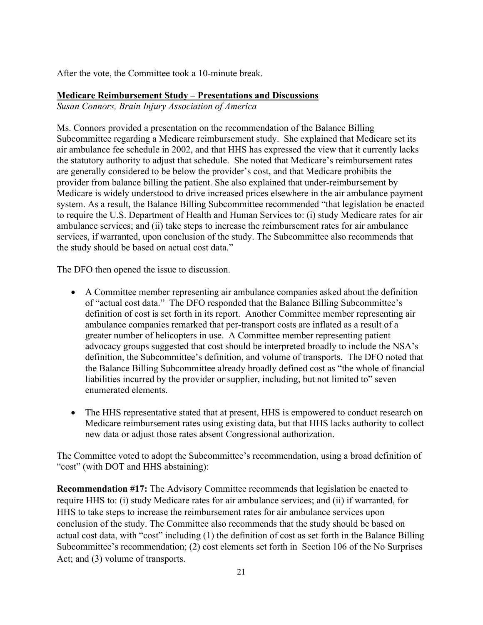After the vote, the Committee took a 10-minute break.

### **Medicare Reimbursement Study – Presentations and Discussions**

*Susan Connors, Brain Injury Association of America*

Ms. Connors provided a presentation on the recommendation of the Balance Billing Subcommittee regarding a Medicare reimbursement study. She explained that Medicare set its air ambulance fee schedule in 2002, and that HHS has expressed the view that it currently lacks the statutory authority to adjust that schedule. She noted that Medicare's reimbursement rates are generally considered to be below the provider's cost, and that Medicare prohibits the provider from balance billing the patient. She also explained that under-reimbursement by Medicare is widely understood to drive increased prices elsewhere in the air ambulance payment system. As a result, the Balance Billing Subcommittee recommended "that legislation be enacted to require the U.S. Department of Health and Human Services to: (i) study Medicare rates for air ambulance services; and (ii) take steps to increase the reimbursement rates for air ambulance services, if warranted, upon conclusion of the study. The Subcommittee also recommends that the study should be based on actual cost data."

The DFO then opened the issue to discussion.

- A Committee member representing air ambulance companies asked about the definition of "actual cost data." The DFO responded that the Balance Billing Subcommittee's definition of cost is set forth in its report. Another Committee member representing air ambulance companies remarked that per-transport costs are inflated as a result of a greater number of helicopters in use. A Committee member representing patient advocacy groups suggested that cost should be interpreted broadly to include the NSA's definition, the Subcommittee's definition, and volume of transports. The DFO noted that the Balance Billing Subcommittee already broadly defined cost as "the whole of financial liabilities incurred by the provider or supplier, including, but not limited to" seven enumerated elements.
- The HHS representative stated that at present, HHS is empowered to conduct research on Medicare reimbursement rates using existing data, but that HHS lacks authority to collect new data or adjust those rates absent Congressional authorization.

The Committee voted to adopt the Subcommittee's recommendation, using a broad definition of "cost" (with DOT and HHS abstaining):

**Recommendation #17:** The Advisory Committee recommends that legislation be enacted to require HHS to: (i) study Medicare rates for air ambulance services; and (ii) if warranted, for HHS to take steps to increase the reimbursement rates for air ambulance services upon conclusion of the study. The Committee also recommends that the study should be based on actual cost data, with "cost" including (1) the definition of cost as set forth in the Balance Billing Subcommittee's recommendation; (2) cost elements set forth in Section 106 of the No Surprises Act; and (3) volume of transports.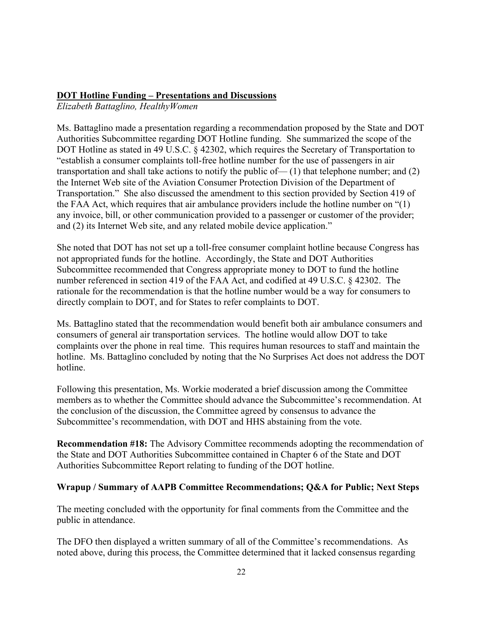### **DOT Hotline Funding – Presentations and Discussions**

*Elizabeth Battaglino, HealthyWomen*

Ms. Battaglino made a presentation regarding a recommendation proposed by the State and DOT Authorities Subcommittee regarding DOT Hotline funding. She summarized the scope of the DOT Hotline as stated in 49 U.S.C. § 42302, which requires the Secretary of Transportation to "establish a consumer complaints toll-free hotline number for the use of passengers in air transportation and shall take actions to notify the public of  $- (1)$  that telephone number; and  $(2)$ the Internet Web site of the Aviation Consumer Protection Division of the Department of Transportation." She also discussed the amendment to this section provided by Section 419 of the FAA Act, which requires that air ambulance providers include the hotline number on "(1) any invoice, bill, or other communication provided to a passenger or customer of the provider; and (2) its Internet Web site, and any related mobile device application."

She noted that DOT has not set up a toll-free consumer complaint hotline because Congress has not appropriated funds for the hotline. Accordingly, the State and DOT Authorities Subcommittee recommended that Congress appropriate money to DOT to fund the hotline number referenced in section 419 of the FAA Act, and codified at 49 U.S.C. § 42302. The rationale for the recommendation is that the hotline number would be a way for consumers to directly complain to DOT, and for States to refer complaints to DOT.

Ms. Battaglino stated that the recommendation would benefit both air ambulance consumers and consumers of general air transportation services.The hotline would allow DOT to take complaints over the phone in real time. This requires human resources to staff and maintain the hotline. Ms. Battaglino concluded by noting that the No Surprises Act does not address the DOT hotline.

Following this presentation, Ms. Workie moderated a brief discussion among the Committee members as to whether the Committee should advance the Subcommittee's recommendation. At the conclusion of the discussion, the Committee agreed by consensus to advance the Subcommittee's recommendation, with DOT and HHS abstaining from the vote.

**Recommendation #18:** The Advisory Committee recommends adopting the recommendation of the State and DOT Authorities Subcommittee contained in Chapter 6 of the State and DOT Authorities Subcommittee Report relating to funding of the DOT hotline.

### **Wrapup / Summary of AAPB Committee Recommendations; Q&A for Public; Next Steps**

The meeting concluded with the opportunity for final comments from the Committee and the public in attendance.

The DFO then displayed a written summary of all of the Committee's recommendations. As noted above, during this process, the Committee determined that it lacked consensus regarding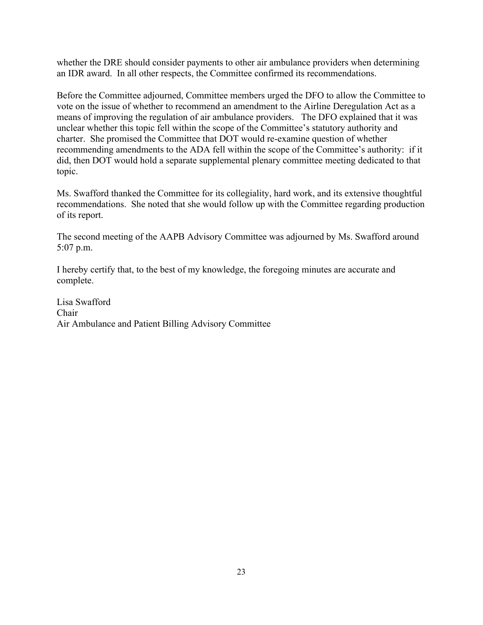whether the DRE should consider payments to other air ambulance providers when determining an IDR award. In all other respects, the Committee confirmed its recommendations.

Before the Committee adjourned, Committee members urged the DFO to allow the Committee to vote on the issue of whether to recommend an amendment to the Airline Deregulation Act as a means of improving the regulation of air ambulance providers. The DFO explained that it was unclear whether this topic fell within the scope of the Committee's statutory authority and charter. She promised the Committee that DOT would re-examine question of whether recommending amendments to the ADA fell within the scope of the Committee's authority: if it did, then DOT would hold a separate supplemental plenary committee meeting dedicated to that topic.

Ms. Swafford thanked the Committee for its collegiality, hard work, and its extensive thoughtful recommendations. She noted that she would follow up with the Committee regarding production of its report.

The second meeting of the AAPB Advisory Committee was adjourned by Ms. Swafford around 5:07 p.m.

I hereby certify that, to the best of my knowledge, the foregoing minutes are accurate and complete.

Lisa Swafford Chair Air Ambulance and Patient Billing Advisory Committee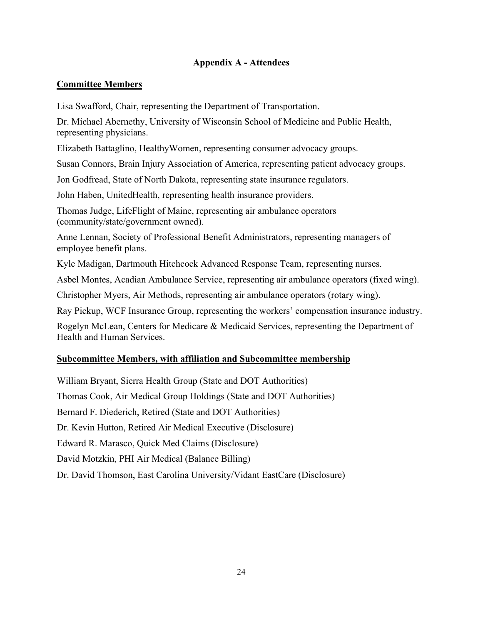## **Appendix A - Attendees**

## **Committee Members**

Lisa Swafford, Chair, representing the Department of Transportation.

Dr. Michael Abernethy, University of Wisconsin School of Medicine and Public Health, representing physicians.

Elizabeth Battaglino, HealthyWomen, representing consumer advocacy groups.

Susan Connors, Brain Injury Association of America, representing patient advocacy groups.

Jon Godfread, State of North Dakota, representing state insurance regulators.

John Haben, UnitedHealth, representing health insurance providers.

Thomas Judge, LifeFlight of Maine, representing air ambulance operators (community/state/government owned).

Anne Lennan, Society of Professional Benefit Administrators, representing managers of employee benefit plans.

Kyle Madigan, Dartmouth Hitchcock Advanced Response Team, representing nurses.

Asbel Montes, Acadian Ambulance Service, representing air ambulance operators (fixed wing).

Christopher Myers, Air Methods, representing air ambulance operators (rotary wing).

Ray Pickup, WCF Insurance Group, representing the workers' compensation insurance industry.

Rogelyn McLean, Centers for Medicare & Medicaid Services, representing the Department of Health and Human Services.

## **Subcommittee Members, with affiliation and Subcommittee membership**

William Bryant, Sierra Health Group (State and DOT Authorities) Thomas Cook, Air Medical Group Holdings (State and DOT Authorities) Bernard F. Diederich, Retired (State and DOT Authorities) Dr. Kevin Hutton, Retired Air Medical Executive (Disclosure) Edward R. Marasco, Quick Med Claims (Disclosure) David Motzkin, PHI Air Medical (Balance Billing) Dr. David Thomson, East Carolina University/Vidant EastCare (Disclosure)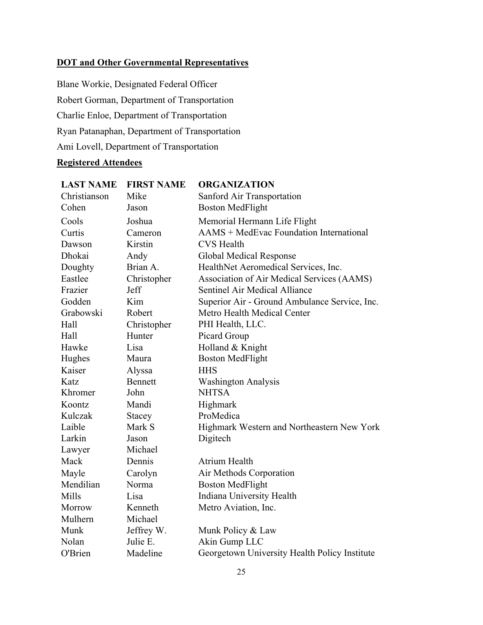# **DOT and Other Governmental Representatives**

Blane Workie, Designated Federal Officer Robert Gorman, Department of Transportation Charlie Enloe, Department of Transportation Ryan Patanaphan, Department of Transportation Ami Lovell, Department of Transportation

# **Registered Attendees**

| <b>LAST NAME</b> | <b>FIRST NAME</b> | <b>ORGANIZATION</b>                           |
|------------------|-------------------|-----------------------------------------------|
| Christianson     | Mike              | Sanford Air Transportation                    |
| Cohen            | Jason             | <b>Boston MedFlight</b>                       |
| Cools            | Joshua            | Memorial Hermann Life Flight                  |
| Curtis           | Cameron           | AAMS + MedEvac Foundation International       |
| Dawson           | Kirstin           | <b>CVS</b> Health                             |
| Dhokai           | Andy              | Global Medical Response                       |
| Doughty          | Brian A.          | HealthNet Aeromedical Services, Inc.          |
| Eastlee          | Christopher       | Association of Air Medical Services (AAMS)    |
| Frazier          | Jeff              | Sentinel Air Medical Alliance                 |
| Godden           | Kim               | Superior Air - Ground Ambulance Service, Inc. |
| Grabowski        | Robert            | Metro Health Medical Center                   |
| Hall             | Christopher       | PHI Health, LLC.                              |
| Hall             | Hunter            | Picard Group                                  |
| Hawke            | Lisa              | Holland & Knight                              |
| Hughes           | Maura             | <b>Boston MedFlight</b>                       |
| Kaiser           | Alyssa            | <b>HHS</b>                                    |
| Katz             | <b>Bennett</b>    | <b>Washington Analysis</b>                    |
| Khromer          | John              | <b>NHTSA</b>                                  |
| Koontz           | Mandi             | Highmark                                      |
| Kulczak          | Stacey            | ProMedica                                     |
| Laible           | Mark S            | Highmark Western and Northeastern New York    |
| Larkin           | Jason             | Digitech                                      |
| Lawyer           | Michael           |                                               |
| Mack             | Dennis            | Atrium Health                                 |
| Mayle            | Carolyn           | Air Methods Corporation                       |
| Mendilian        | Norma             | <b>Boston MedFlight</b>                       |
| Mills            | Lisa              | Indiana University Health                     |
| Morrow           | Kenneth           | Metro Aviation, Inc.                          |
| Mulhern          | Michael           |                                               |
| Munk             | Jeffrey W.        | Munk Policy & Law                             |
| Nolan            | Julie E.          | Akin Gump LLC                                 |
| O'Brien          | Madeline          | Georgetown University Health Policy Institute |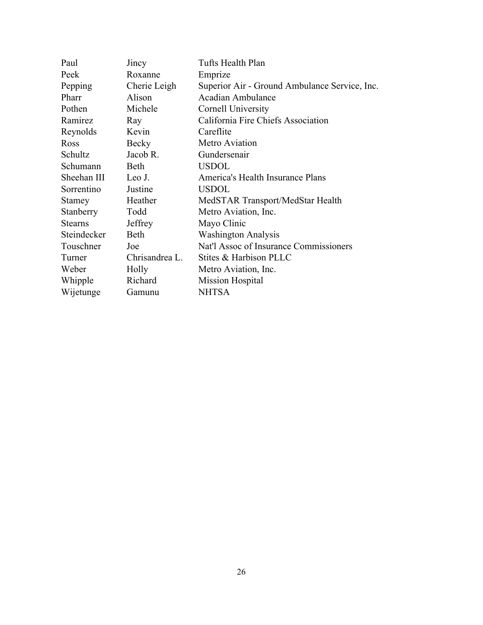| Paul           | Jincy          | Tufts Health Plan                             |
|----------------|----------------|-----------------------------------------------|
| Peek           | Roxanne        | Emprize                                       |
| Pepping        | Cherie Leigh   | Superior Air - Ground Ambulance Service, Inc. |
| Pharr          | Alison         | <b>Acadian Ambulance</b>                      |
| Pothen         | Michele        | Cornell University                            |
| Ramirez        | Ray            | California Fire Chiefs Association            |
| Reynolds       | Kevin          | Careflite                                     |
| Ross           | Becky          | Metro Aviation                                |
| Schultz        | Jacob R.       | Gundersenair                                  |
| Schumann       | Beth           | <b>USDOL</b>                                  |
| Sheehan III    | Leo J.         | America's Health Insurance Plans              |
| Sorrentino     | Justine        | <b>USDOL</b>                                  |
| Stamey         | Heather        | MedSTAR Transport/MedStar Health              |
| Stanberry      | Todd           | Metro Aviation, Inc.                          |
| <b>Stearns</b> | Jeffrey        | Mayo Clinic                                   |
| Steindecker    | Beth           | <b>Washington Analysis</b>                    |
| Touschner      | Joe            | Nat'l Assoc of Insurance Commissioners        |
| Turner         | Chrisandrea L. | Stites & Harbison PLLC                        |
| Weber          | Holly          | Metro Aviation, Inc.                          |
| Whipple        | Richard        | Mission Hospital                              |
| Wijetunge      | Gamunu         | <b>NHTSA</b>                                  |
|                |                |                                               |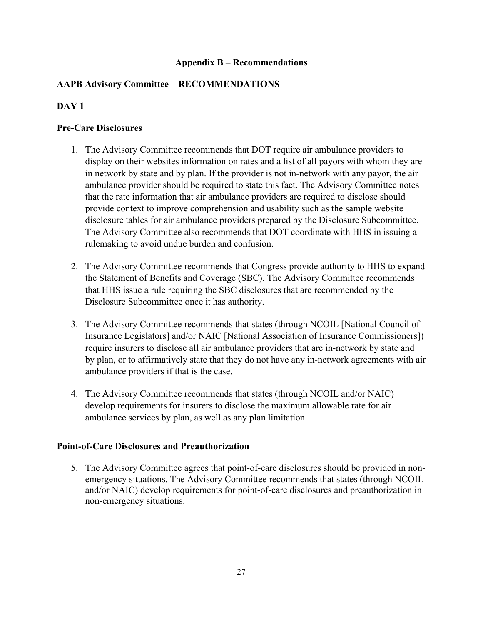## **Appendix B – Recommendations**

## **AAPB Advisory Committee – RECOMMENDATIONS**

## **DAY 1**

## **Pre-Care Disclosures**

- 1. The Advisory Committee recommends that DOT require air ambulance providers to display on their websites information on rates and a list of all payors with whom they are in network by state and by plan. If the provider is not in-network with any payor, the air ambulance provider should be required to state this fact. The Advisory Committee notes that the rate information that air ambulance providers are required to disclose should provide context to improve comprehension and usability such as the sample website disclosure tables for air ambulance providers prepared by the Disclosure Subcommittee. The Advisory Committee also recommends that DOT coordinate with HHS in issuing a rulemaking to avoid undue burden and confusion.
- 2. The Advisory Committee recommends that Congress provide authority to HHS to expand the Statement of Benefits and Coverage (SBC). The Advisory Committee recommends that HHS issue a rule requiring the SBC disclosures that are recommended by the Disclosure Subcommittee once it has authority.
- 3. The Advisory Committee recommends that states (through NCOIL [National Council of Insurance Legislators] and/or NAIC [National Association of Insurance Commissioners]) require insurers to disclose all air ambulance providers that are in-network by state and by plan, or to affirmatively state that they do not have any in-network agreements with air ambulance providers if that is the case.
- 4. The Advisory Committee recommends that states (through NCOIL and/or NAIC) develop requirements for insurers to disclose the maximum allowable rate for air ambulance services by plan, as well as any plan limitation.

### **Point-of-Care Disclosures and Preauthorization**

5. The Advisory Committee agrees that point-of-care disclosures should be provided in nonemergency situations. The Advisory Committee recommends that states (through NCOIL and/or NAIC) develop requirements for point-of-care disclosures and preauthorization in non-emergency situations.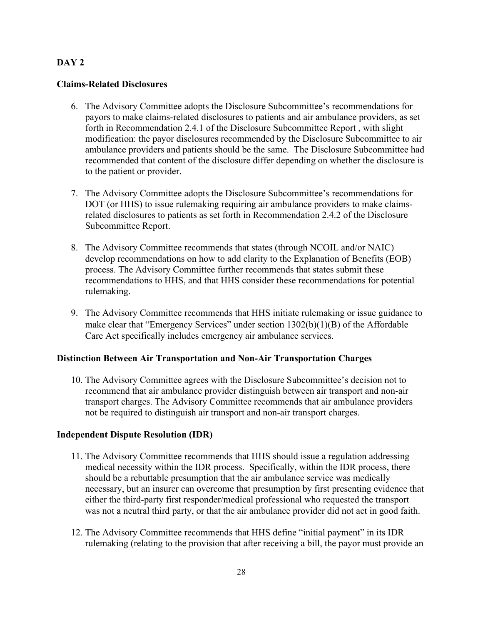## **DAY 2**

#### **Claims-Related Disclosures**

- 6. The Advisory Committee adopts the Disclosure Subcommittee's recommendations for payors to make claims-related disclosures to patients and air ambulance providers, as set forth in Recommendation 2.4.1 of the Disclosure Subcommittee Report , with slight modification: the payor disclosures recommended by the Disclosure Subcommittee to air ambulance providers and patients should be the same. The Disclosure Subcommittee had recommended that content of the disclosure differ depending on whether the disclosure is to the patient or provider.
- 7. The Advisory Committee adopts the Disclosure Subcommittee's recommendations for DOT (or HHS) to issue rulemaking requiring air ambulance providers to make claimsrelated disclosures to patients as set forth in Recommendation 2.4.2 of the Disclosure Subcommittee Report.
- 8. The Advisory Committee recommends that states (through NCOIL and/or NAIC) develop recommendations on how to add clarity to the Explanation of Benefits (EOB) process. The Advisory Committee further recommends that states submit these recommendations to HHS, and that HHS consider these recommendations for potential rulemaking.
- 9. The Advisory Committee recommends that HHS initiate rulemaking or issue guidance to make clear that "Emergency Services" under section 1302(b)(1)(B) of the Affordable Care Act specifically includes emergency air ambulance services.

### **Distinction Between Air Transportation and Non-Air Transportation Charges**

10. The Advisory Committee agrees with the Disclosure Subcommittee's decision not to recommend that air ambulance provider distinguish between air transport and non-air transport charges. The Advisory Committee recommends that air ambulance providers not be required to distinguish air transport and non-air transport charges.

### **Independent Dispute Resolution (IDR)**

- 11. The Advisory Committee recommends that HHS should issue a regulation addressing medical necessity within the IDR process. Specifically, within the IDR process, there should be a rebuttable presumption that the air ambulance service was medically necessary, but an insurer can overcome that presumption by first presenting evidence that either the third-party first responder/medical professional who requested the transport was not a neutral third party, or that the air ambulance provider did not act in good faith.
- 12. The Advisory Committee recommends that HHS define "initial payment" in its IDR rulemaking (relating to the provision that after receiving a bill, the payor must provide an